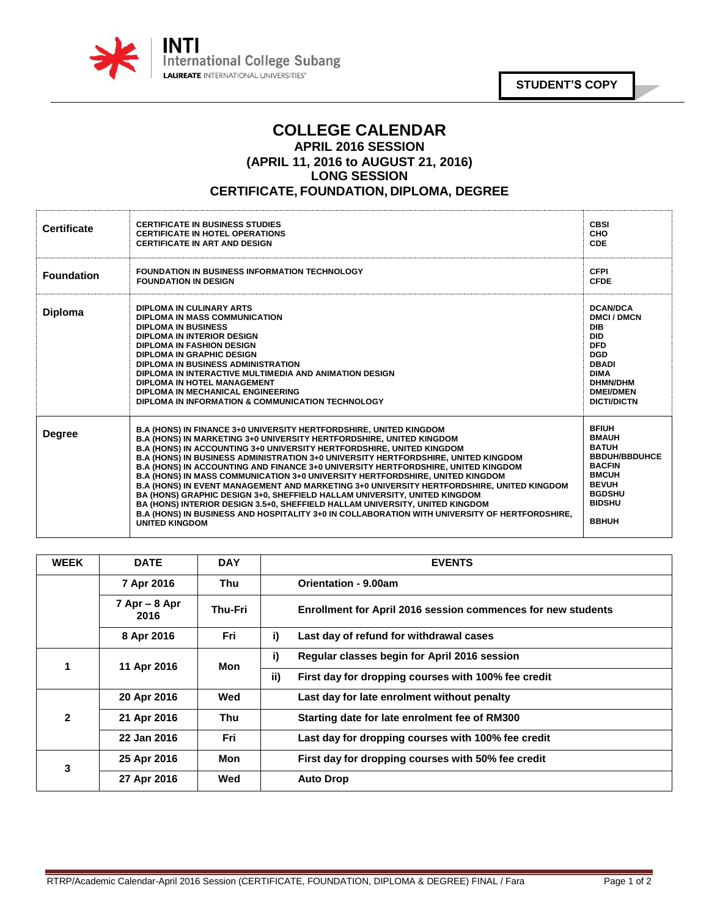

**STUDENT'S COPY**

## **COLLEGE CALENDAR APRIL 2016 SESSION (APRIL 11, 2016 to AUGUST 21, 2016) LONG SESSION CERTIFICATE, FOUNDATION, DIPLOMA, DEGREE**

| <b>Certificate</b> | <b>CERTIFICATE IN BUSINESS STUDIES</b><br><b>CERTIFICATE IN HOTEL OPERATIONS</b><br><b>CERTIFICATE IN ART AND DESIGN</b>                                                                                                                                                                                                                                                                                                                                                                                                                                                                                                                                                                                                                                                                                                                                                                               | <b>CBSI</b><br><b>CHO</b><br><b>CDE</b>                                                                                                                                          |
|--------------------|--------------------------------------------------------------------------------------------------------------------------------------------------------------------------------------------------------------------------------------------------------------------------------------------------------------------------------------------------------------------------------------------------------------------------------------------------------------------------------------------------------------------------------------------------------------------------------------------------------------------------------------------------------------------------------------------------------------------------------------------------------------------------------------------------------------------------------------------------------------------------------------------------------|----------------------------------------------------------------------------------------------------------------------------------------------------------------------------------|
| <b>Foundation</b>  | <b>FOUNDATION IN BUSINESS INFORMATION TECHNOLOGY</b><br><b>FOUNDATION IN DESIGN</b>                                                                                                                                                                                                                                                                                                                                                                                                                                                                                                                                                                                                                                                                                                                                                                                                                    | <b>CFPI</b><br><b>CFDE</b>                                                                                                                                                       |
| <b>Diploma</b>     | DIPLOMA IN CULINARY ARTS<br><b>DIPLOMA IN MASS COMMUNICATION</b><br><b>DIPLOMA IN BUSINESS</b><br>DIPLOMA IN INTERIOR DESIGN<br><b>DIPLOMA IN FASHION DESIGN</b><br><b>DIPLOMA IN GRAPHIC DESIGN</b><br>DIPLOMA IN BUSINESS ADMINISTRATION<br>DIPLOMA IN INTERACTIVE MULTIMEDIA AND ANIMATION DESIGN<br>DIPLOMA IN HOTEL MANAGEMENT<br>DIPLOMA IN MECHANICAL ENGINEERING<br>DIPLOMA IN INFORMATION & COMMUNICATION TECHNOLOGY                                                                                                                                                                                                                                                                                                                                                                                                                                                                          | <b>DCAN/DCA</b><br><b>DMCI/DMCN</b><br><b>DIB</b><br><b>DID</b><br><b>DFD</b><br><b>DGD</b><br><b>DBADI</b><br><b>DIMA</b><br>DHMN/DHM<br><b>DMEI/DMEN</b><br><b>DICTI/DICTN</b> |
| <b>Degree</b>      | <b>B.A (HONS) IN FINANCE 3+0 UNIVERSITY HERTFORDSHIRE, UNITED KINGDOM</b><br><b>B.A (HONS) IN MARKETING 3+0 UNIVERSITY HERTFORDSHIRE, UNITED KINGDOM</b><br><b>B.A (HONS) IN ACCOUNTING 3+0 UNIVERSITY HERTFORDSHIRE. UNITED KINGDOM</b><br><b>B.A (HONS) IN BUSINESS ADMINISTRATION 3+0 UNIVERSITY HERTFORDSHIRE, UNITED KINGDOM</b><br>B.A (HONS) IN ACCOUNTING AND FINANCE 3+0 UNIVERSITY HERTFORDSHIRE, UNITED KINGDOM<br><b>B.A (HONS) IN MASS COMMUNICATION 3+0 UNIVERSITY HERTFORDSHIRE, UNITED KINGDOM</b><br>B.A (HONS) IN EVENT MANAGEMENT AND MARKETING 3+0 UNIVERSITY HERTFORDSHIRE, UNITED KINGDOM<br>BA (HONS) GRAPHIC DESIGN 3+0, SHEFFIELD HALLAM UNIVERSITY, UNITED KINGDOM<br>BA (HONS) INTERIOR DESIGN 3.5+0, SHEFFIELD HALLAM UNIVERSITY, UNITED KINGDOM<br>B.A (HONS) IN BUSINESS AND HOSPITALITY 3+0 IN COLLABORATION WITH UNIVERSITY OF HERTFORDSHIRE,<br><b>UNITED KINGDOM</b> | <b>BFIUH</b><br><b>BMAUH</b><br><b>BATUH</b><br><b>BBDUH/BBDUHCE</b><br><b>BACFIN</b><br><b>BMCUH</b><br><b>BEVUH</b><br><b>BGDSHU</b><br><b>BIDSHU</b><br><b>BBHUH</b>          |

| <b>WEEK</b> | <b>DATE</b>               | <b>DAY</b> | <b>EVENTS</b>                                                |
|-------------|---------------------------|------------|--------------------------------------------------------------|
|             | 7 Apr 2016                | Thu        | Orientation - 9.00am                                         |
|             | $7$ Apr $-$ 8 Apr<br>2016 | Thu-Fri    | Enrollment for April 2016 session commences for new students |
|             | 8 Apr 2016                | <b>Fri</b> | i)<br>Last day of refund for withdrawal cases                |
| 1           | 11 Apr 2016               | Mon        | i)<br>Regular classes begin for April 2016 session           |
|             |                           |            | ii)<br>First day for dropping courses with 100% fee credit   |
| 2           | 20 Apr 2016               | Wed        | Last day for late enrolment without penalty                  |
|             | 21 Apr 2016               | Thu        | Starting date for late enrolment fee of RM300                |
|             | 22 Jan 2016               | <b>Fri</b> | Last day for dropping courses with 100% fee credit           |
| 3           | 25 Apr 2016               | Mon        | First day for dropping courses with 50% fee credit           |
|             | 27 Apr 2016               | Wed        | <b>Auto Drop</b>                                             |